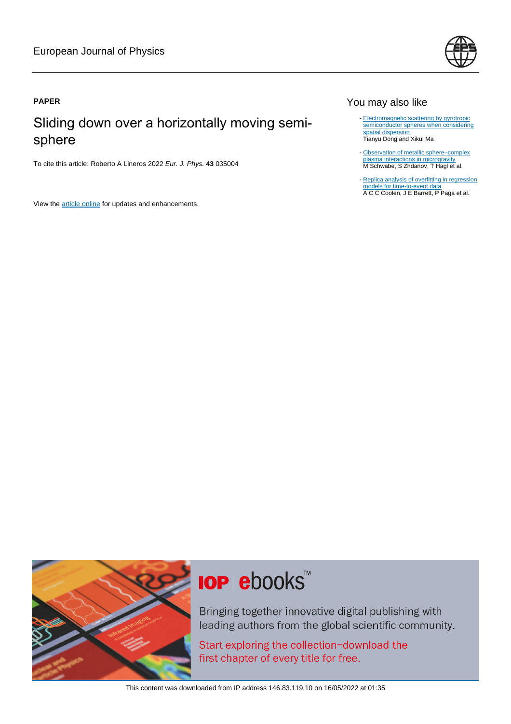### **PAPER**

## Sliding down over a horizontally moving semisphere

To cite this article: Roberto A Lineros 2022 Eur. J. Phys. **43** 035004

View the [article online](https://doi.org/10.1088/1361-6404/ac5a06) for updates and enhancements.



## You may also like

- [Electromagnetic scattering by gyrotropic](https://iopscience.iop.org/article/10.1088/1361-6463/aac8d2) [semiconductor spheres when considering](https://iopscience.iop.org/article/10.1088/1361-6463/aac8d2) [spatial dispersion](https://iopscience.iop.org/article/10.1088/1361-6463/aac8d2) Tianyu Dong and Xikui Ma
- Observation of metallic sphere-complex [plasma interactions in microgravity](https://iopscience.iop.org/article/10.1088/1367-2630/aa868c) M Schwabe, S Zhdanov, T Hagl et al.
- [Replica analysis of overfitting in regression](https://iopscience.iop.org/article/10.1088/1751-8121/aa812f) [models for time-to-event data](https://iopscience.iop.org/article/10.1088/1751-8121/aa812f) A C C Coolen, J E Barrett, P Paga et al. -



# **IOP ebooks**™

Bringing together innovative digital publishing with leading authors from the global scientific community.

Start exploring the collection-download the first chapter of every title for free.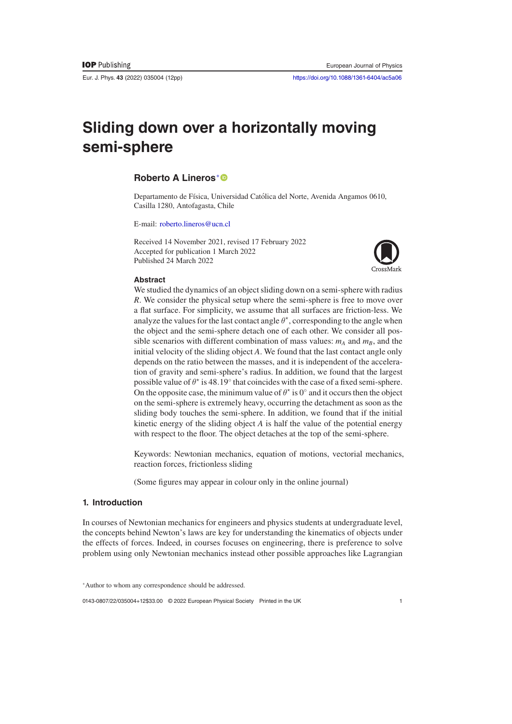# **Sliding down over a horizontally moving semi-sphere**

#### **Roberto A Lineros**[∗](https://orcid.org/0000-0002-9419-5480)

Departamento de Física, Universidad Católica del Norte, Avenida Angamos 0610, Casilla 1280, Antofagasta, Chile

E-mail: [roberto.lineros@ucn.cl](mailto:roberto.lineros@ucn.cl)

Received 14 November 2021, revised 17 February 2022 Accepted for publication 1 March 2022 Published 24 March 2022



#### **Abstract**

We studied the dynamics of an object sliding down on a semi-sphere with radius *R*. We consider the physical setup where the semi-sphere is free to move over a flat surface. For simplicity, we assume that all surfaces are friction-less. We analyze the values for the last contact angle  $\theta^*$ , corresponding to the angle when the object and the semi-sphere detach one of each other. We consider all possible scenarios with different combination of mass values:  $m_A$  and  $m_B$ , and the initial velocity of the sliding object *A*. We found that the last contact angle only depends on the ratio between the masses, and it is independent of the acceleration of gravity and semi-sphere's radius. In addition, we found that the largest possible value of  $\theta^*$  is 48.19° that coincides with the case of a fixed semi-sphere. On the opposite case, the minimum value of  $\theta^*$  is 0 $\degree$  and it occurs then the object on the semi-sphere is extremely heavy, occurring the detachment as soon as the sliding body touches the semi-sphere. In addition, we found that if the initial kinetic energy of the sliding object *A* is half the value of the potential energy with respect to the floor. The object detaches at the top of the semi-sphere.

Keywords: Newtonian mechanics, equation of motions, vectorial mechanics, reaction forces, frictionless sliding

(Some figures may appear in colour only in the online journal)

#### **1. Introduction**

In courses of Newtonian mechanics for engineers and physics students at undergraduate level, the concepts behind Newton's laws are key for understanding the kinematics of objects under the effects of forces. Indeed, in courses focuses on engineering, there is preference to solve problem using only Newtonian mechanics instead other possible approaches like Lagrangian

0143-0807/22/035004+12\$33.00 © 2022 European Physical Society Printed in the UK 1

<sup>∗</sup>Author to whom any correspondence should be addressed.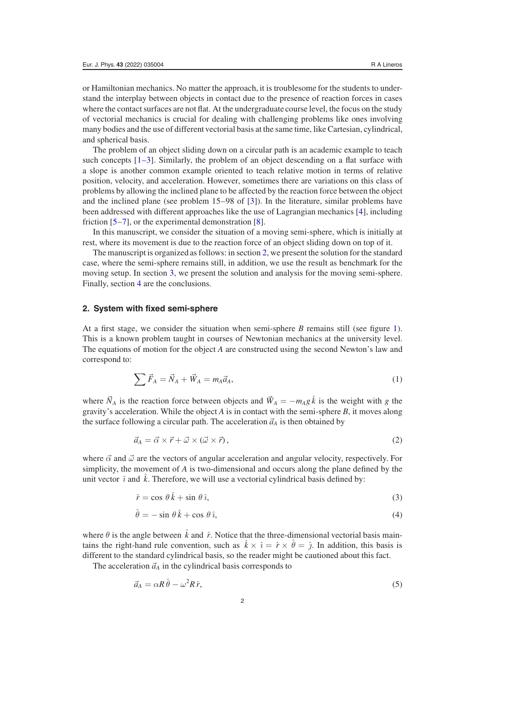or Hamiltonian mechanics. No matter the approach, it is troublesome for the students to understand the interplay between objects in contact due to the presence of reaction forces in cases where the contact surfaces are not flat. At the undergraduate course level, the focus on the study of vectorial mechanics is crucial for dealing with challenging problems like ones involving many bodies and the use of different vectorial basis at the same time, like Cartesian, cylindrical, and spherical basis.

The problem of an object sliding down on a circular path is an academic example to teach such concepts  $[1-3]$  $[1-3]$ . Similarly, the problem of an object descending on a flat surface with a slope is another common example oriented to teach relative motion in terms of relative position, velocity, and acceleration. However, sometimes there are variations on this class of problems by allowing the inclined plane to be affected by the reaction force between the object and the inclined plane (see problem 15–98 of [\[3\]](#page-12-1)). In the literature, similar problems have been addressed with different approaches like the use of Lagrangian mechanics [\[4\]](#page-12-2), including friction [\[5](#page-12-3)[–7\]](#page-12-4), or the experimental demonstration [\[8\]](#page-12-5).

In this manuscript, we consider the situation of a moving semi-sphere, which is initially at rest, where its movement is due to the reaction force of an object sliding down on top of it.

The manuscript is organized as follows: in section [2,](#page-2-0) we present the solution for the standard case, where the semi-sphere remains still, in addition, we use the result as benchmark for the moving setup. In section [3,](#page-5-0) we present the solution and analysis for the moving semi-sphere. Finally, section [4](#page-10-0) are the conclusions.

#### <span id="page-2-0"></span>**2. System with fixed semi-sphere**

At a first stage, we consider the situation when semi-sphere *B* remains still (see figure [1\)](#page-3-0). This is a known problem taught in courses of Newtonian mechanics at the university level. The equations of motion for the object *A* are constructed using the second Newton's law and correspond to:

$$
\sum \vec{F}_A = \vec{N}_A + \vec{W}_A = m_A \vec{a}_A,\tag{1}
$$

where  $\vec{N}_A$  is the reaction force between objects and  $\vec{W}_A = -m_A g \hat{k}$  is the weight with *g* the gravity's acceleration. While the object  $A$  is in contact with the semi-sphere  $B$ , it moves along the surface following a circular path. The acceleration  $\vec{a}_A$  is then obtained by

$$
\vec{a}_A = \vec{\alpha} \times \vec{r} + \vec{\omega} \times (\vec{\omega} \times \vec{r}), \tag{2}
$$

where  $\vec{\alpha}$  and  $\vec{\omega}$  are the vectors of angular acceleration and angular velocity, respectively. For simplicity, the movement of *A* is two-dimensional and occurs along the plane defined by the unit vector  $\hat{i}$  and  $\hat{k}$ . Therefore, we will use a vectorial cylindrical basis defined by:

$$
\hat{r} = \cos\theta \,\hat{k} + \sin\theta \,\hat{i},\tag{3}
$$

$$
\hat{\theta} = -\sin\theta \,\hat{k} + \cos\theta \,\hat{i},\tag{4}
$$

where  $\theta$  is the angle between  $\hat{k}$  and  $\hat{r}$ . Notice that the three-dimensional vectorial basis maintains the right-hand rule convention, such as  $\hat{k} \times \hat{i} = \hat{r} \times \hat{\theta} = \hat{j}$ . In addition, this basis is different to the standard cylindrical basis, so the reader might be cautioned about this fact.

The acceleration  $\vec{a}_A$  in the cylindrical basis corresponds to

$$
\vec{a}_A = \alpha R \hat{\theta} - \omega^2 R \hat{r},\tag{5}
$$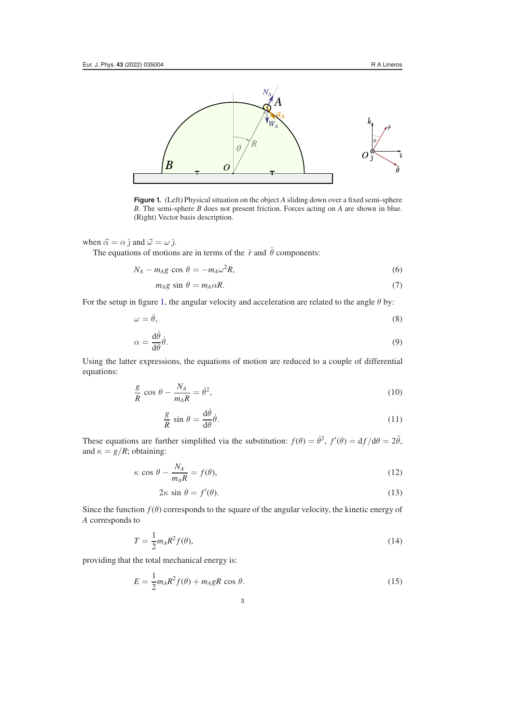<span id="page-3-0"></span>

**Figure 1.** (Left) Physical situation on the object *A* sliding down over a fixed semi-sphere *B*. The semi-sphere *B* does not present friction. Forces acting on *A* are shown in blue. (Right) Vector basis description.

when  $\vec{\alpha} = \alpha \hat{\jmath}$  and  $\vec{\omega} = \omega \hat{\jmath}$ .

The equations of motions are in terms of the  $\hat{r}$  and  $\hat{\theta}$  components:

$$
N_A - m_A g \cos \theta = -m_A \omega^2 R,\tag{6}
$$

$$
m_A g \sin \theta = m_A \alpha R. \tag{7}
$$

For the setup in figure [1,](#page-3-0) the angular velocity and acceleration are related to the angle  $\theta$  by:

$$
\omega = \dot{\theta},\tag{8}
$$

$$
\alpha = \frac{\mathrm{d}\dot{\theta}}{\mathrm{d}\theta}\dot{\theta}.\tag{9}
$$

Using the latter expressions, the equations of motion are reduced to a couple of differential equations:

$$
\frac{g}{R}\cos\theta - \frac{N_A}{m_A R} = \dot{\theta}^2,\tag{10}
$$

$$
\frac{g}{R}\sin\theta = \frac{\mathrm{d}\dot{\theta}}{\mathrm{d}\theta}\dot{\theta}.\tag{11}
$$

These equations are further simplified via the substitution:  $f(\theta) = \dot{\theta}^2$ ,  $f'(\theta) = df/d\theta = 2\ddot{\theta}$ , and  $\kappa = g/R$ ; obtaining:

$$
\kappa \cos \theta - \frac{N_A}{m_A R} = f(\theta),\tag{12}
$$

<span id="page-3-2"></span><span id="page-3-1"></span>
$$
2\kappa \sin \theta = f'(\theta). \tag{13}
$$

Since the function  $f(\theta)$  corresponds to the square of the angular velocity, the kinetic energy of *A* corresponds to

$$
T = \frac{1}{2} m_A R^2 f(\theta),\tag{14}
$$

providing that the total mechanical energy is:

$$
E = \frac{1}{2} m_A R^2 f(\theta) + m_A gR \cos \theta.
$$
 (15)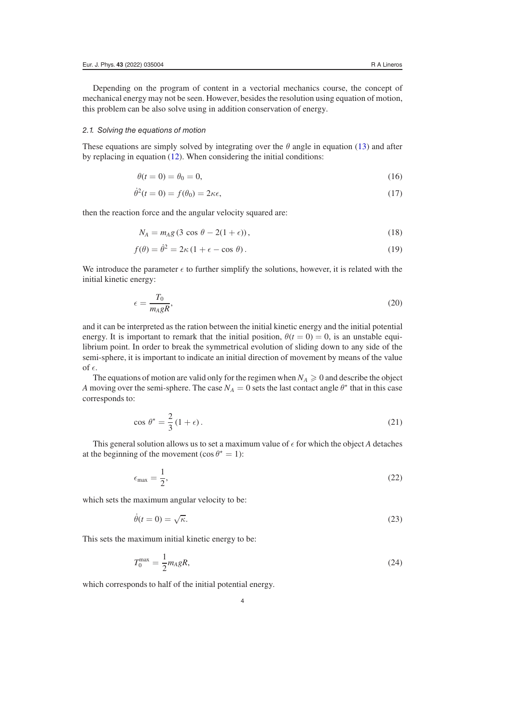Depending on the program of content in a vectorial mechanics course, the concept of mechanical energy may not be seen. However, besides the resolution using equation of motion, this problem can be also solve using in addition conservation of energy.

#### 2.1. Solving the equations of motion

These equations are simply solved by integrating over the  $\theta$  angle in equation [\(13\)](#page-3-1) and after by replacing in equation [\(12\)](#page-3-2). When considering the initial conditions:

$$
\theta(t=0) = \theta_0 = 0,\tag{16}
$$

$$
\dot{\theta}^2(t=0) = f(\theta_0) = 2\kappa\epsilon,\tag{17}
$$

then the reaction force and the angular velocity squared are:

$$
N_A = m_A g \left( 3 \cos \theta - 2(1 + \epsilon) \right),\tag{18}
$$

$$
f(\theta) = \dot{\theta}^2 = 2\kappa (1 + \epsilon - \cos \theta). \tag{19}
$$

We introduce the parameter  $\epsilon$  to further simplify the solutions, however, it is related with the initial kinetic energy:

<span id="page-4-0"></span>
$$
\epsilon = \frac{T_0}{m_A g R},\tag{20}
$$

and it can be interpreted as the ration between the initial kinetic energy and the initial potential energy. It is important to remark that the initial position,  $\theta(t=0) = 0$ , is an unstable equilibrium point. In order to break the symmetrical evolution of sliding down to any side of the semi-sphere, it is important to indicate an initial direction of movement by means of the value  $\alpha$ f  $\epsilon$ 

The equations of motion are valid only for the regimen when  $N_A \geqslant 0$  and describe the object *A* moving over the semi-sphere. The case  $N_A = 0$  sets the last contact angle  $\theta^*$  that in this case corresponds to:

<span id="page-4-1"></span>
$$
\cos \theta^* = \frac{2}{3} (1 + \epsilon). \tag{21}
$$

This general solution allows us to set a maximum value of  $\epsilon$  for which the object A detaches at the beginning of the movement (cos  $\theta^* = 1$ ):

$$
\epsilon_{\max} = \frac{1}{2},\tag{22}
$$

which sets the maximum angular velocity to be:

$$
\dot{\theta}(t=0) = \sqrt{\kappa}.\tag{23}
$$

This sets the maximum initial kinetic energy to be:

$$
T_0^{\max} = \frac{1}{2} m_A g R,\tag{24}
$$

which corresponds to half of the initial potential energy.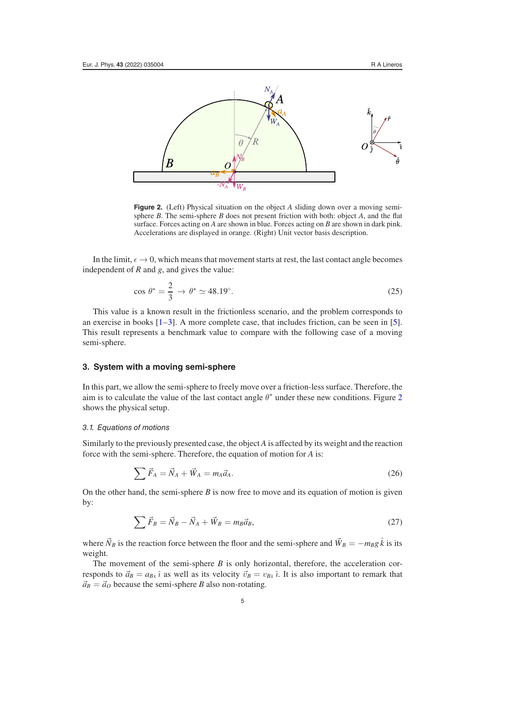<span id="page-5-1"></span>

**Figure 2.** (Left) Physical situation on the object *A* sliding down over a moving semisphere *B*. The semi-sphere *B* does not present friction with both: object *A*, and the flat surface. Forces acting on *A* are shown in blue. Forces acting on *B* are shown in dark pink. Accelerations are displayed in orange. (Right) Unit vector basis description.

In the limit,  $\epsilon \to 0$ , which means that movement starts at rest, the last contact angle becomes independent of *R* and *g*, and gives the value:

$$
\cos \theta^* = \frac{2}{3} \to \theta^* \simeq 48.19^\circ. \tag{25}
$$

This value is a known result in the frictionless scenario, and the problem corresponds to an exercise in books  $[1-3]$  $[1-3]$ . A more complete case, that includes friction, can be seen in [\[5\]](#page-12-3). This result represents a benchmark value to compare with the following case of a moving semi-sphere.

#### <span id="page-5-0"></span>**3. System with a moving semi-sphere**

In this part, we allow the semi-sphere to freely move over a friction-less surface. Therefore, the aim is to calculate the value of the last contact angle  $\theta^*$  under these new conditions. Figure [2](#page-5-1) shows the physical setup.

#### 3.1. Equations of motions

Similarly to the previously presented case, the object *A* is affected by its weight and the reaction force with the semi-sphere. Therefore, the equation of motion for *A* is:

$$
\sum \vec{F}_A = \vec{N}_A + \vec{W}_A = m_A \vec{a}_A. \tag{26}
$$

On the other hand, the semi-sphere  $B$  is now free to move and its equation of motion is given by:

$$
\sum \vec{F}_B = \vec{N}_B - \vec{N}_A + \vec{W}_B = m_B \vec{a}_B,\tag{27}
$$

where  $\vec{N}_B$  is the reaction force between the floor and the semi-sphere and  $\vec{W}_B = -m_B g \hat{k}$  is its weight.

The movement of the semi-sphere *B* is only horizontal, therefore, the acceleration corresponds to  $\vec{a}_B = a_{Bx} \hat{i}$  as well as its velocity  $\vec{v}_B = v_{Bx} \hat{i}$ . It is also important to remark that  $\vec{a}_B = \vec{a}_O$  because the semi-sphere *B* also non-rotating.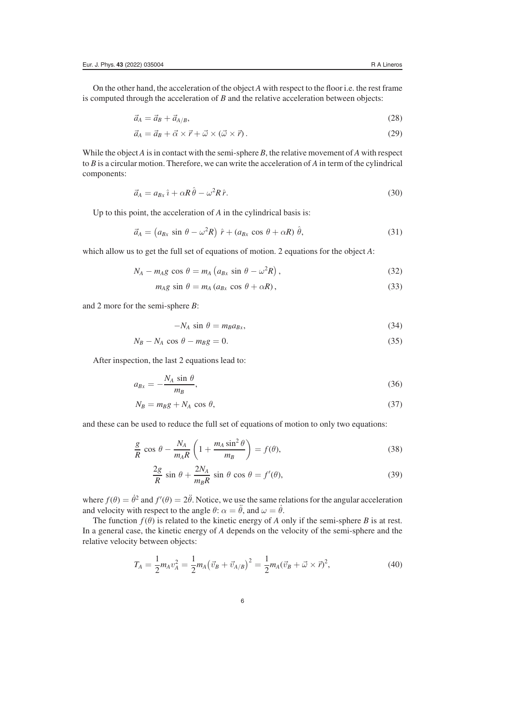On the other hand, the acceleration of the object *A* with respect to the floor i.e. the rest frame is computed through the acceleration of *B* and the relative acceleration between objects:

$$
\vec{a}_A = \vec{a}_B + \vec{a}_{A/B},\tag{28}
$$

$$
\vec{a}_A = \vec{a}_B + \vec{\alpha} \times \vec{r} + \vec{\omega} \times (\vec{\omega} \times \vec{r}). \tag{29}
$$

While the object *A* is in contact with the semi-sphere *B*, the relative movement of *A* with respect to *B* is a circular motion. Therefore, we can write the acceleration of *A* in term of the cylindrical components:

$$
\vec{a}_A = a_{Bx}\hat{i} + \alpha R \hat{\theta} - \omega^2 R \hat{r}.\tag{30}
$$

Up to this point, the acceleration of *A* in the cylindrical basis is:

$$
\vec{a}_A = \left(a_{Bx} \sin \theta - \omega^2 R\right) \hat{r} + \left(a_{Bx} \cos \theta + \alpha R\right) \hat{\theta},\tag{31}
$$

which allow us to get the full set of equations of motion. 2 equations for the object *A*:

$$
N_A - m_A g \cos \theta = m_A \left( a_{Bx} \sin \theta - \omega^2 R \right), \tag{32}
$$

$$
m_A g \sin \theta = m_A (a_{Bx} \cos \theta + \alpha R), \qquad (33)
$$

and 2 more for the semi-sphere *B*:

$$
-N_A \sin \theta = m_B a_{Bx},\tag{34}
$$

$$
N_B - N_A \cos \theta - m_B g = 0. \tag{35}
$$

After inspection, the last 2 equations lead to:

$$
a_{Bx} = -\frac{N_A \sin \theta}{m_B},\tag{36}
$$

$$
N_B = m_B g + N_A \cos \theta,\tag{37}
$$

and these can be used to reduce the full set of equations of motion to only two equations:

$$
\frac{g}{R}\cos\theta - \frac{N_A}{m_A R} \left( 1 + \frac{m_A \sin^2\theta}{m_B} \right) = f(\theta),\tag{38}
$$

<span id="page-6-1"></span><span id="page-6-0"></span>
$$
\frac{2g}{R}\sin\theta + \frac{2N_A}{m_B R}\sin\theta\cos\theta = f'(\theta),\tag{39}
$$

where  $f(\theta) = \dot{\theta}^2$  and  $f'(\theta) = 2\ddot{\theta}$ . Notice, we use the same relations for the angular acceleration and velocity with respect to the angle  $\theta$ :  $\alpha = \ddot{\theta}$ , and  $\omega = \dot{\theta}$ .

The function  $f(\theta)$  is related to the kinetic energy of *A* only if the semi-sphere *B* is at rest. In a general case, the kinetic energy of *A* depends on the velocity of the semi-sphere and the relative velocity between objects:

$$
T_A = \frac{1}{2} m_A v_A^2 = \frac{1}{2} m_A (\vec{v}_B + \vec{v}_{A/B})^2 = \frac{1}{2} m_A (\vec{v}_B + \vec{\omega} \times \vec{r})^2, \tag{40}
$$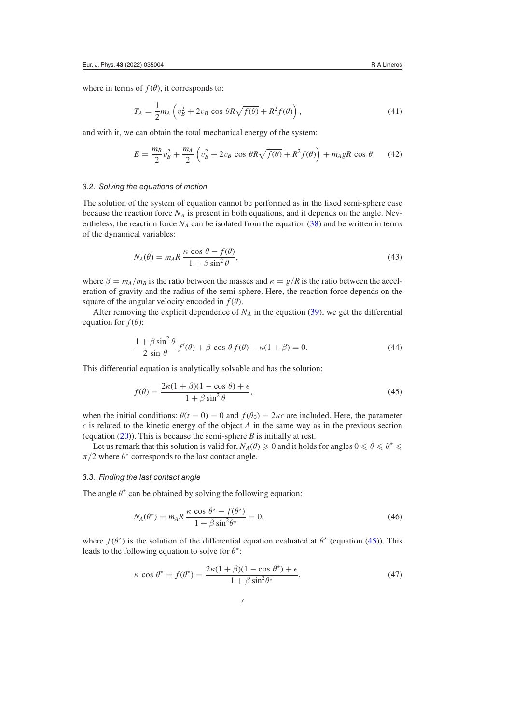where in terms of  $f(\theta)$ , it corresponds to:

$$
T_A = \frac{1}{2} m_A \left( v_B^2 + 2v_B \cos \theta R \sqrt{f(\theta)} + R^2 f(\theta) \right),\tag{41}
$$

and with it, we can obtain the total mechanical energy of the system:

$$
E = \frac{m_B}{2}v_B^2 + \frac{m_A}{2}\left(v_B^2 + 2v_B\cos\theta R\sqrt{f(\theta)} + R^2f(\theta)\right) + m_A gR\cos\theta. \tag{42}
$$

#### 3.2. Solving the equations of motion

The solution of the system of equation cannot be performed as in the fixed semi-sphere case because the reaction force  $N_A$  is present in both equations, and it depends on the angle. Nevertheless, the reaction force  $N_A$  can be isolated from the equation [\(38\)](#page-6-0) and be written in terms of the dynamical variables:

$$
N_A(\theta) = m_A R \frac{\kappa \cos \theta - f(\theta)}{1 + \beta \sin^2 \theta},\tag{43}
$$

where  $\beta = m_A/m_B$  is the ratio between the masses and  $\kappa = g/R$  is the ratio between the acceleration of gravity and the radius of the semi-sphere. Here, the reaction force depends on the square of the angular velocity encoded in  $f(\theta)$ .

After removing the explicit dependence of  $N_A$  in the equation [\(39\)](#page-6-1), we get the differential equation for  $f(\theta)$ :

$$
\frac{1+\beta\sin^2\theta}{2\sin\theta}f'(\theta) + \beta\cos\theta f(\theta) - \kappa(1+\beta) = 0.
$$
 (44)

This differential equation is analytically solvable and has the solution:

<span id="page-7-0"></span>
$$
f(\theta) = \frac{2\kappa(1+\beta)(1-\cos\theta)+\epsilon}{1+\beta\sin^2\theta},
$$
\n(45)

when the initial conditions:  $\theta(t=0) = 0$  and  $f(\theta_0) = 2\kappa\epsilon$  are included. Here, the parameter  $\epsilon$  is related to the kinetic energy of the object *A* in the same way as in the previous section (equation [\(20\)](#page-4-0)). This is because the semi-sphere *B* is initially at rest.

Let us remark that this solution is valid for,  $N_A(\theta) \geqslant 0$  and it holds for angles  $0 \leqslant \theta \leqslant \theta^* \leqslant$  $\pi/2$  where  $\theta^*$  corresponds to the last contact angle.

#### 3.3. Finding the last contact angle

The angle  $\theta^*$  can be obtained by solving the following equation:

$$
N_A(\theta^*) = m_A R \frac{\kappa \cos \theta^* - f(\theta^*)}{1 + \beta \sin^2 \theta^*} = 0,
$$
\n(46)

where  $f(\theta^*)$  is the solution of the differential equation evaluated at  $\theta^*$  (equation [\(45\)](#page-7-0)). This leads to the following equation to solve for  $\theta^*$ :

<span id="page-7-1"></span>
$$
\kappa \cos \theta^* = f(\theta^*) = \frac{2\kappa (1+\beta)(1-\cos \theta^*) + \epsilon}{1+\beta \sin^2 \theta^*}.
$$
\n(47)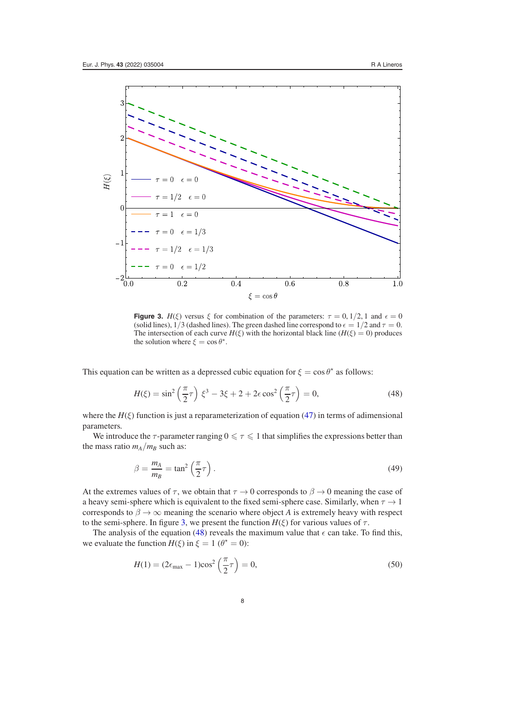<span id="page-8-0"></span>

**Figure 3.**  $H(\xi)$  versus  $\xi$  for combination of the parameters:  $\tau = 0.1/2, 1$  and  $\epsilon = 0$ (solid lines),  $1/3$  (dashed lines). The green dashed line correspond to  $\epsilon = 1/2$  and  $\tau = 0$ . The intersection of each curve  $H(\xi)$  with the horizontal black line ( $H(\xi) = 0$ ) produces the solution where  $\xi = \cos \theta^*$ .

This equation can be written as a depressed cubic equation for  $\xi = \cos \theta^*$  as follows:

<span id="page-8-1"></span>
$$
H(\xi) = \sin^2\left(\frac{\pi}{2}\tau\right) \xi^3 - 3\xi + 2 + 2\epsilon \cos^2\left(\frac{\pi}{2}\tau\right) = 0,
$$
 (48)

where the  $H(\xi)$  function is just a reparameterization of equation [\(47\)](#page-7-1) in terms of adimensional parameters.

We introduce the  $\tau$ -parameter ranging  $0 \leq \tau \leq 1$  that simplifies the expressions better than the mass ratio  $m_A/m_B$  such as:

$$
\beta = \frac{m_A}{m_B} = \tan^2\left(\frac{\pi}{2}\tau\right). \tag{49}
$$

At the extremes values of  $\tau$ , we obtain that  $\tau \to 0$  corresponds to  $\beta \to 0$  meaning the case of a heavy semi-sphere which is equivalent to the fixed semi-sphere case. Similarly, when  $\tau \to 1$ corresponds to  $\beta \to \infty$  meaning the scenario where object *A* is extremely heavy with respect to the semi-sphere. In figure [3,](#page-8-0) we present the function  $H(\xi)$  for various values of  $\tau$ .

The analysis of the equation [\(48\)](#page-8-1) reveals the maximum value that  $\epsilon$  can take. To find this, we evaluate the function  $H(\xi)$  in  $\xi = 1$  ( $\theta^* = 0$ ):

$$
H(1) = (2\epsilon_{\text{max}} - 1)\cos^2\left(\frac{\pi}{2}\tau\right) = 0,\tag{50}
$$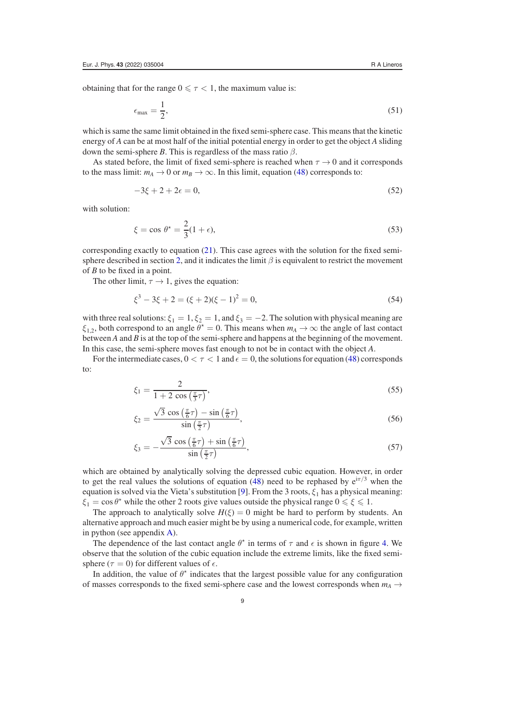obtaining that for the range  $0 \le \tau < 1$ , the maximum value is:

$$
\epsilon_{\max} = \frac{1}{2},\tag{51}
$$

which is same the same limit obtained in the fixed semi-sphere case. This means that the kinetic energy of *A* can be at most half of the initial potential energy in order to get the object *A* sliding down the semi-sphere *B*. This is regardless of the mass ratio  $\beta$ .

As stated before, the limit of fixed semi-sphere is reached when  $\tau \rightarrow 0$  and it corresponds to the mass limit:  $m_A \to 0$  or  $m_B \to \infty$ . In this limit, equation [\(48\)](#page-8-1) corresponds to:

$$
-3\xi + 2 + 2\epsilon = 0,\tag{52}
$$

with solution:

$$
\xi = \cos \theta^* = \frac{2}{3}(1 + \epsilon),\tag{53}
$$

corresponding exactly to equation [\(21\)](#page-4-1). This case agrees with the solution for the fixed semi-sphere described in section [2,](#page-2-0) and it indicates the limit  $\beta$  is equivalent to restrict the movement of *B* to be fixed in a point.

The other limit,  $\tau \rightarrow 1$ , gives the equation:

$$
\xi^3 - 3\xi + 2 = (\xi + 2)(\xi - 1)^2 = 0,\tag{54}
$$

with three real solutions:  $\xi_1 = 1$ ,  $\xi_2 = 1$ , and  $\xi_3 = -2$ . The solution with physical meaning are  $\xi_{1,2}$ , both correspond to an angle  $\theta^* = 0$ . This means when  $m_A \to \infty$  the angle of last contact between *A* and *B* is at the top of the semi-sphere and happens at the beginning of the movement. In this case, the semi-sphere moves fast enough to not be in contact with the object *A*.

For the intermediate cases,  $0 < \tau < 1$  and  $\epsilon = 0$ , the solutions for equation [\(48\)](#page-8-1) corresponds to:

$$
\xi_1 = \frac{2}{1+2\cos\left(\frac{\pi}{3}\tau\right)},\tag{55}
$$

$$
\xi_2 = \frac{\sqrt{3}\,\cos\left(\frac{\pi}{6}\tau\right) - \sin\left(\frac{\pi}{6}\tau\right)}{\sin\left(\frac{\pi}{2}\tau\right)},\tag{56}
$$

$$
\xi_3 = -\frac{\sqrt{3}\,\cos\left(\frac{\pi}{6}\tau\right) + \sin\left(\frac{\pi}{6}\tau\right)}{\sin\left(\frac{\pi}{2}\tau\right)},\tag{57}
$$

which are obtained by analytically solving the depressed cubic equation. However, in order to get the real values the solutions of equation [\(48\)](#page-8-1) need to be rephased by  $e^{i\pi/3}$  when the equation is solved via the Vieta's substitution [\[9\]](#page-12-6). From the 3 roots,  $\xi_1$  has a physical meaning:  $\xi_1 = \cos \theta^*$  while the other 2 roots give values outside the physical range  $0 \le \xi \le 1$ .

The approach to analytically solve  $H(\xi) = 0$  might be hard to perform by students. An alternative approach and much easier might be by using a numerical code, for example, written in python (see appendix [A\)](#page-11-0).

The dependence of the last contact angle  $\theta^*$  in terms of  $\tau$  and  $\epsilon$  is shown in figure [4.](#page-10-1) We observe that the solution of the cubic equation include the extreme limits, like the fixed semisphere ( $\tau = 0$ ) for different values of  $\epsilon$ .

In addition, the value of  $\theta^*$  indicates that the largest possible value for any configuration of masses corresponds to the fixed semi-sphere case and the lowest corresponds when  $m_A \rightarrow$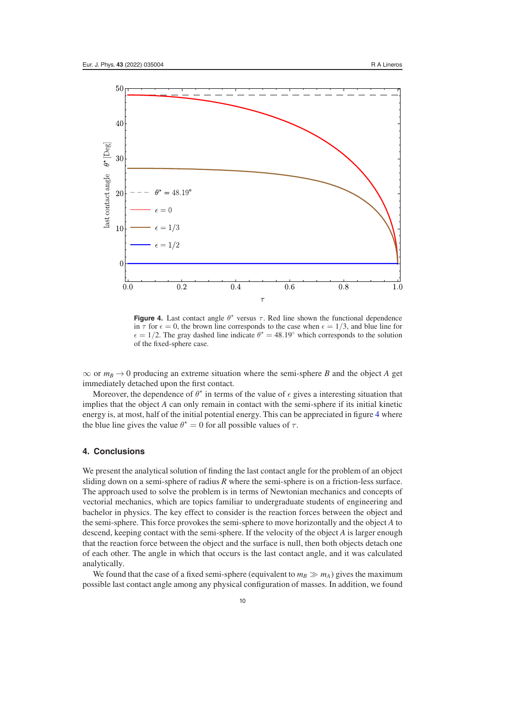<span id="page-10-1"></span>

**Figure 4.** Last contact angle  $\theta^*$  versus  $\tau$ . Red line shown the functional dependence in  $\tau$  for  $\epsilon = 0$ , the brown line corresponds to the case when  $\epsilon = 1/3$ , and blue line for  $\epsilon = 1/2$ . The gray dashed line indicate  $\theta^* = 48.19^\circ$  which corresponds to the solution of the fixed-sphere case.

 $\infty$  or  $m_B \to 0$  producing an extreme situation where the semi-sphere *B* and the object *A* get immediately detached upon the first contact.

Moreover, the dependence of  $\theta^*$  in terms of the value of  $\epsilon$  gives a interesting situation that implies that the object *A* can only remain in contact with the semi-sphere if its initial kinetic energy is, at most, half of the initial potential energy. This can be appreciated in figure [4](#page-10-1) where the blue line gives the value  $\theta^* = 0$  for all possible values of  $\tau$ .

#### <span id="page-10-0"></span>**4. Conclusions**

We present the analytical solution of finding the last contact angle for the problem of an object sliding down on a semi-sphere of radius *R* where the semi-sphere is on a friction-less surface. The approach used to solve the problem is in terms of Newtonian mechanics and concepts of vectorial mechanics, which are topics familiar to undergraduate students of engineering and bachelor in physics. The key effect to consider is the reaction forces between the object and the semi-sphere. This force provokes the semi-sphere to move horizontally and the object *A* to descend, keeping contact with the semi-sphere. If the velocity of the object *A* is larger enough that the reaction force between the object and the surface is null, then both objects detach one of each other. The angle in which that occurs is the last contact angle, and it was calculated analytically.

We found that the case of a fixed semi-sphere (equivalent to  $m_B \gg m_A$ ) gives the maximum possible last contact angle among any physical configuration of masses. In addition, we found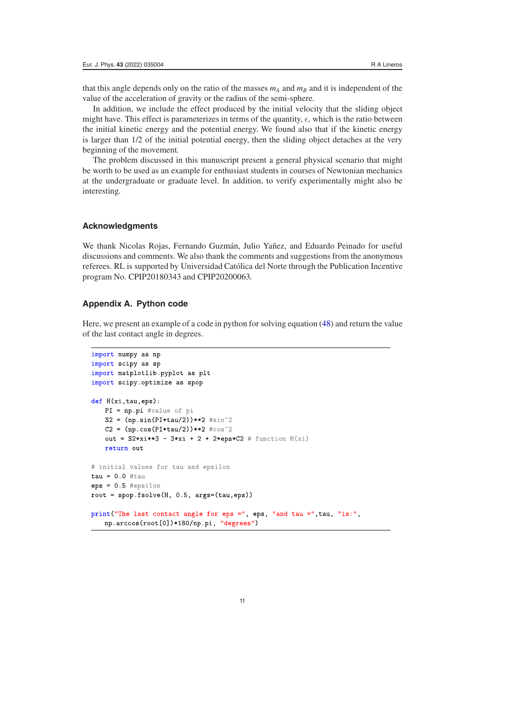that this angle depends only on the ratio of the masses  $m_A$  and  $m_B$  and it is independent of the value of the acceleration of gravity or the radius of the semi-sphere.

In addition, we include the effect produced by the initial velocity that the sliding object might have. This effect is parameterizes in terms of the quantity,  $\epsilon$ , which is the ratio between the initial kinetic energy and the potential energy. We found also that if the kinetic energy is larger than 1/2 of the initial potential energy, then the sliding object detaches at the very beginning of the movement.

The problem discussed in this manuscript present a general physical scenario that might be worth to be used as an example for enthusiast students in courses of Newtonian mechanics at the undergraduate or graduate level. In addition, to verify experimentally might also be interesting.

#### **Acknowledgments**

We thank Nicolas Rojas, Fernando Guzmán, Julio Yañez, and Eduardo Peinado for useful discussions and comments. We also thank the comments and suggestions from the anonymous referees. RL is supported by Universidad Católica del Norte through the Publication Incentive program No. CPIP20180343 and CPIP20200063.

#### <span id="page-11-0"></span>**Appendix A. Python code**

Here, we present an example of a code in python for solving equation [\(48\)](#page-8-1) and return the value of the last contact angle in degrees.

```
import numpy as np
import scipy as sp
import matplotlib.pyplot as plt
import scipy.optimize as spop
def H(xi, tau,eps):
   PI = np.pi #value of pi
   S2 = (np.sin(PI*tau/2))**2 \#sin^2 2C2 = (np. \cos(PI * tau/2)) * * 2 * \cos^2 2out = S2*xi**3 - 3*xi + 2 + 2*eps*C2 # function H(xi)return out
# initial values for tau and epsilon
tau = 0.0 #tau
eps = 0.5 #epsilon
root = spop.fsolve(H, 0.5, args=(tau,eps))print ("The last contact angle for eps =", eps, "and tau =", tau, "is:",
   np.arccos(root[0])*180/np.pi, "degrees")
```